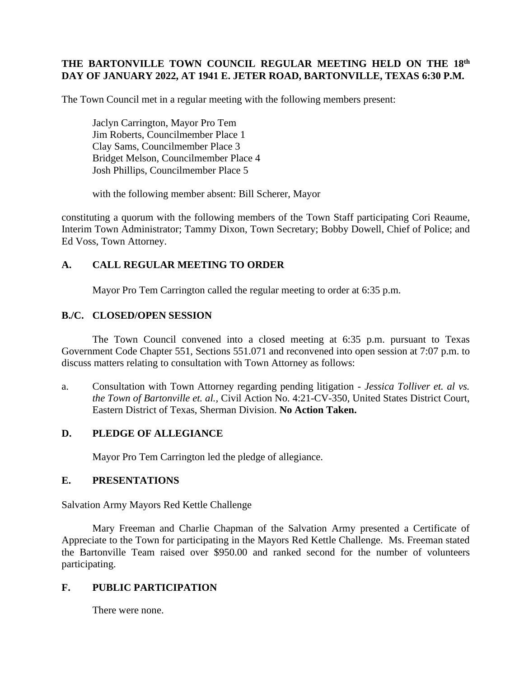## **THE BARTONVILLE TOWN COUNCIL REGULAR MEETING HELD ON THE 18 th DAY OF JANUARY 2022, AT 1941 E. JETER ROAD, BARTONVILLE, TEXAS 6:30 P.M.**

The Town Council met in a regular meeting with the following members present:

Jaclyn Carrington, Mayor Pro Tem Jim Roberts, Councilmember Place 1 Clay Sams, Councilmember Place 3 Bridget Melson, Councilmember Place 4 Josh Phillips, Councilmember Place 5

with the following member absent: Bill Scherer, Mayor

constituting a quorum with the following members of the Town Staff participating Cori Reaume, Interim Town Administrator; Tammy Dixon, Town Secretary; Bobby Dowell, Chief of Police; and Ed Voss, Town Attorney.

## **A. CALL REGULAR MEETING TO ORDER**

Mayor Pro Tem Carrington called the regular meeting to order at 6:35 p.m.

## **B./C. CLOSED/OPEN SESSION**

The Town Council convened into a closed meeting at 6:35 p.m. pursuant to Texas Government Code Chapter 551, Sections 551.071 and reconvened into open session at 7:07 p.m. to discuss matters relating to consultation with Town Attorney as follows:

a. Consultation with Town Attorney regarding pending litigation - *Jessica Tolliver et. al vs. the Town of Bartonville et. al.,* Civil Action No. 4:21-CV-350, United States District Court, Eastern District of Texas, Sherman Division. **No Action Taken.**

## **D. PLEDGE OF ALLEGIANCE**

Mayor Pro Tem Carrington led the pledge of allegiance.

## **E. PRESENTATIONS**

Salvation Army Mayors Red Kettle Challenge

Mary Freeman and Charlie Chapman of the Salvation Army presented a Certificate of Appreciate to the Town for participating in the Mayors Red Kettle Challenge. Ms. Freeman stated the Bartonville Team raised over \$950.00 and ranked second for the number of volunteers participating.

# **F. PUBLIC PARTICIPATION**

There were none.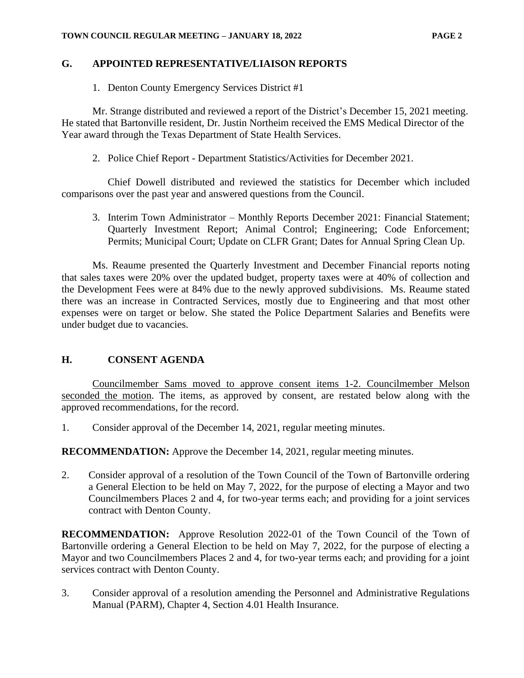# **G. APPOINTED REPRESENTATIVE/LIAISON REPORTS**

1. Denton County Emergency Services District #1

Mr. Strange distributed and reviewed a report of the District's December 15, 2021 meeting. He stated that Bartonville resident, Dr. Justin Northeim received the EMS Medical Director of the Year award through the Texas Department of State Health Services.

2. Police Chief Report - Department Statistics/Activities for December 2021.

Chief Dowell distributed and reviewed the statistics for December which included comparisons over the past year and answered questions from the Council.

3. Interim Town Administrator – Monthly Reports December 2021: Financial Statement; Quarterly Investment Report; Animal Control; Engineering; Code Enforcement; Permits; Municipal Court; Update on CLFR Grant; Dates for Annual Spring Clean Up.

Ms. Reaume presented the Quarterly Investment and December Financial reports noting that sales taxes were 20% over the updated budget, property taxes were at 40% of collection and the Development Fees were at 84% due to the newly approved subdivisions. Ms. Reaume stated there was an increase in Contracted Services, mostly due to Engineering and that most other expenses were on target or below. She stated the Police Department Salaries and Benefits were under budget due to vacancies.

# **H. CONSENT AGENDA**

Councilmember Sams moved to approve consent items 1-2. Councilmember Melson seconded the motion. The items, as approved by consent, are restated below along with the approved recommendations, for the record.

1. Consider approval of the December 14, 2021, regular meeting minutes.

**RECOMMENDATION:** Approve the December 14, 2021, regular meeting minutes.

2. Consider approval of a resolution of the Town Council of the Town of Bartonville ordering a General Election to be held on May 7, 2022, for the purpose of electing a Mayor and two Councilmembers Places 2 and 4, for two-year terms each; and providing for a joint services contract with Denton County.

**RECOMMENDATION:** Approve Resolution 2022-01 of the Town Council of the Town of Bartonville ordering a General Election to be held on May 7, 2022, for the purpose of electing a Mayor and two Councilmembers Places 2 and 4, for two-year terms each; and providing for a joint services contract with Denton County.

3. Consider approval of a resolution amending the Personnel and Administrative Regulations Manual (PARM), Chapter 4, Section 4.01 Health Insurance.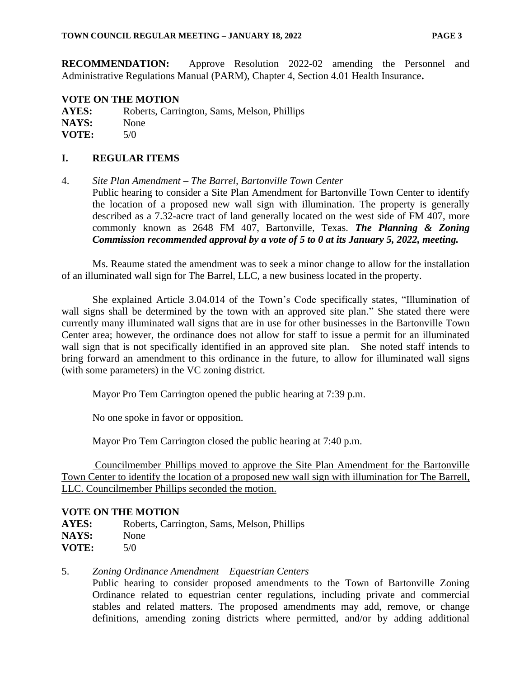**RECOMMENDATION:** Approve Resolution 2022-02 amending the Personnel and Administrative Regulations Manual (PARM), Chapter 4, Section 4.01 Health Insurance**.**

## **VOTE ON THE MOTION**

**AYES:** Roberts, Carrington, Sams, Melson, Phillips NAYS: None **VOTE:** 5/0

## **I. REGULAR ITEMS**

4. *Site Plan Amendment – The Barrel, Bartonville Town Center* Public hearing to consider a Site Plan Amendment for Bartonville Town Center to identify the location of a proposed new wall sign with illumination. The property is generally described as a 7.32-acre tract of land generally located on the west side of FM 407, more commonly known as 2648 FM 407, Bartonville, Texas. *The Planning & Zoning Commission recommended approval by a vote of 5 to 0 at its January 5, 2022, meeting.*

Ms. Reaume stated the amendment was to seek a minor change to allow for the installation of an illuminated wall sign for The Barrel, LLC, a new business located in the property.

She explained Article 3.04.014 of the Town's Code specifically states, "Illumination of wall signs shall be determined by the town with an approved site plan." She stated there were currently many illuminated wall signs that are in use for other businesses in the Bartonville Town Center area; however, the ordinance does not allow for staff to issue a permit for an illuminated wall sign that is not specifically identified in an approved site plan. She noted staff intends to bring forward an amendment to this ordinance in the future, to allow for illuminated wall signs (with some parameters) in the VC zoning district.

Mayor Pro Tem Carrington opened the public hearing at 7:39 p.m.

No one spoke in favor or opposition.

Mayor Pro Tem Carrington closed the public hearing at 7:40 p.m.

Councilmember Phillips moved to approve the Site Plan Amendment for the Bartonville Town Center to identify the location of a proposed new wall sign with illumination for The Barrell, LLC. Councilmember Phillips seconded the motion.

## **VOTE ON THE MOTION**

**AYES:** Roberts, Carrington, Sams, Melson, Phillips NAYS: None **VOTE:** 5/0

## 5. *Zoning Ordinance Amendment – Equestrian Centers*

Public hearing to consider proposed amendments to the Town of Bartonville Zoning Ordinance related to equestrian center regulations, including private and commercial stables and related matters. The proposed amendments may add, remove, or change definitions, amending zoning districts where permitted, and/or by adding additional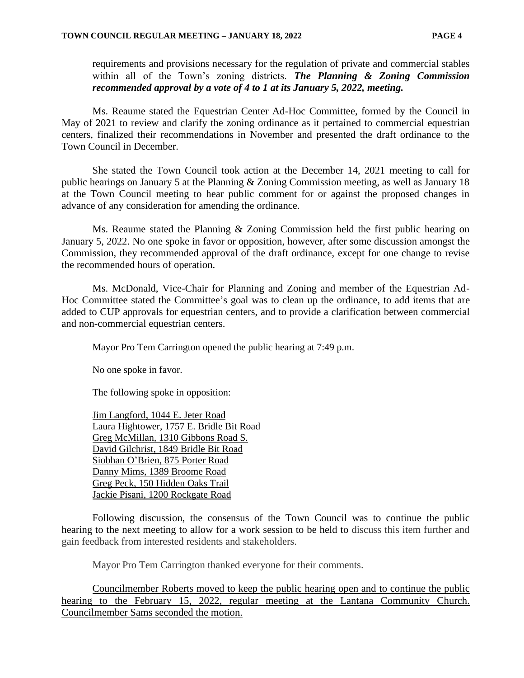requirements and provisions necessary for the regulation of private and commercial stables within all of the Town's zoning districts. *The Planning & Zoning Commission recommended approval by a vote of 4 to 1 at its January 5, 2022, meeting.*

Ms. Reaume stated the Equestrian Center Ad-Hoc Committee, formed by the Council in May of 2021 to review and clarify the zoning ordinance as it pertained to commercial equestrian centers, finalized their recommendations in November and presented the draft ordinance to the Town Council in December.

She stated the Town Council took action at the December 14, 2021 meeting to call for public hearings on January 5 at the Planning & Zoning Commission meeting, as well as January 18 at the Town Council meeting to hear public comment for or against the proposed changes in advance of any consideration for amending the ordinance.

Ms. Reaume stated the Planning & Zoning Commission held the first public hearing on January 5, 2022. No one spoke in favor or opposition, however, after some discussion amongst the Commission, they recommended approval of the draft ordinance, except for one change to revise the recommended hours of operation.

Ms. McDonald, Vice-Chair for Planning and Zoning and member of the Equestrian Ad-Hoc Committee stated the Committee's goal was to clean up the ordinance, to add items that are added to CUP approvals for equestrian centers, and to provide a clarification between commercial and non-commercial equestrian centers.

Mayor Pro Tem Carrington opened the public hearing at 7:49 p.m.

No one spoke in favor.

The following spoke in opposition:

Jim Langford, 1044 E. Jeter Road Laura Hightower, 1757 E. Bridle Bit Road Greg McMillan, 1310 Gibbons Road S. David Gilchrist, 1849 Bridle Bit Road Siobhan O'Brien, 875 Porter Road Danny Mims, 1389 Broome Road Greg Peck, 150 Hidden Oaks Trail Jackie Pisani, 1200 Rockgate Road

Following discussion, the consensus of the Town Council was to continue the public hearing to the next meeting to allow for a work session to be held to discuss this item further and gain feedback from interested residents and stakeholders.

Mayor Pro Tem Carrington thanked everyone for their comments.

Councilmember Roberts moved to keep the public hearing open and to continue the public hearing to the February 15, 2022, regular meeting at the Lantana Community Church. Councilmember Sams seconded the motion.